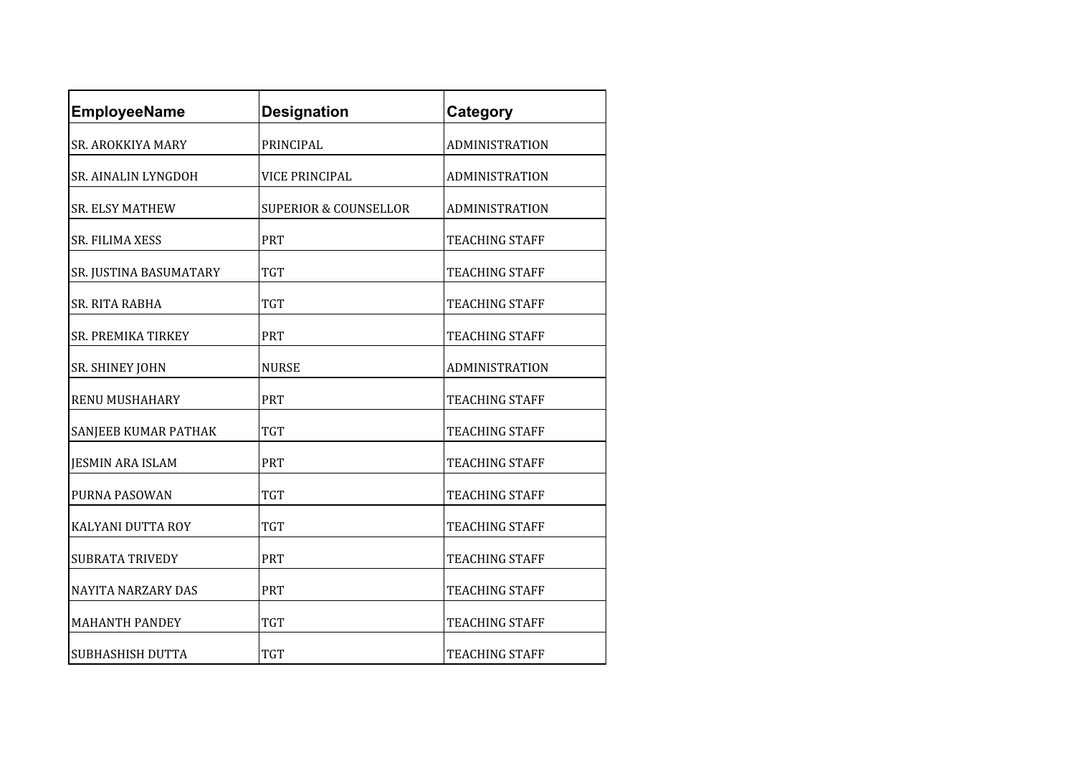| <b>EmployeeName</b>       | <b>Designation</b>               | Category              |
|---------------------------|----------------------------------|-----------------------|
| SR. AROKKIYA MARY         | PRINCIPAL                        | ADMINISTRATION        |
| SR. AINALIN LYNGDOH       | VICE PRINCIPAL                   | ADMINISTRATION        |
| <b>SR. ELSY MATHEW</b>    | <b>SUPERIOR &amp; COUNSELLOR</b> | <b>ADMINISTRATION</b> |
| SR. FILIMA XESS           | <b>PRT</b>                       | TEACHING STAFF        |
| SR. JUSTINA BASUMATARY    | TGT                              | TEACHING STAFF        |
| SR. RITA RABHA            | TGT                              | TEACHING STAFF        |
| <b>SR. PREMIKA TIRKEY</b> | <b>PRT</b>                       | TEACHING STAFF        |
| SR. SHINEY JOHN           | <b>NURSE</b>                     | ADMINISTRATION        |
| <b>RENU MUSHAHARY</b>     | <b>PRT</b>                       | TEACHING STAFF        |
| SANJEEB KUMAR PATHAK      | <b>TGT</b>                       | <b>TEACHING STAFF</b> |
| <b>JESMIN ARA ISLAM</b>   | <b>PRT</b>                       | <b>TEACHING STAFF</b> |
| PURNA PASOWAN             | <b>TGT</b>                       | TEACHING STAFF        |
| KALYANI DUTTA ROY         | TGT                              | TEACHING STAFF        |
| <b>SUBRATA TRIVEDY</b>    | <b>PRT</b>                       | TEACHING STAFF        |
| NAYITA NARZARY DAS        | PRT                              | TEACHING STAFF        |
| <b>MAHANTH PANDEY</b>     | <b>TGT</b>                       | TEACHING STAFF        |
| SUBHASHISH DUTTA          | TGT                              | <b>TEACHING STAFF</b> |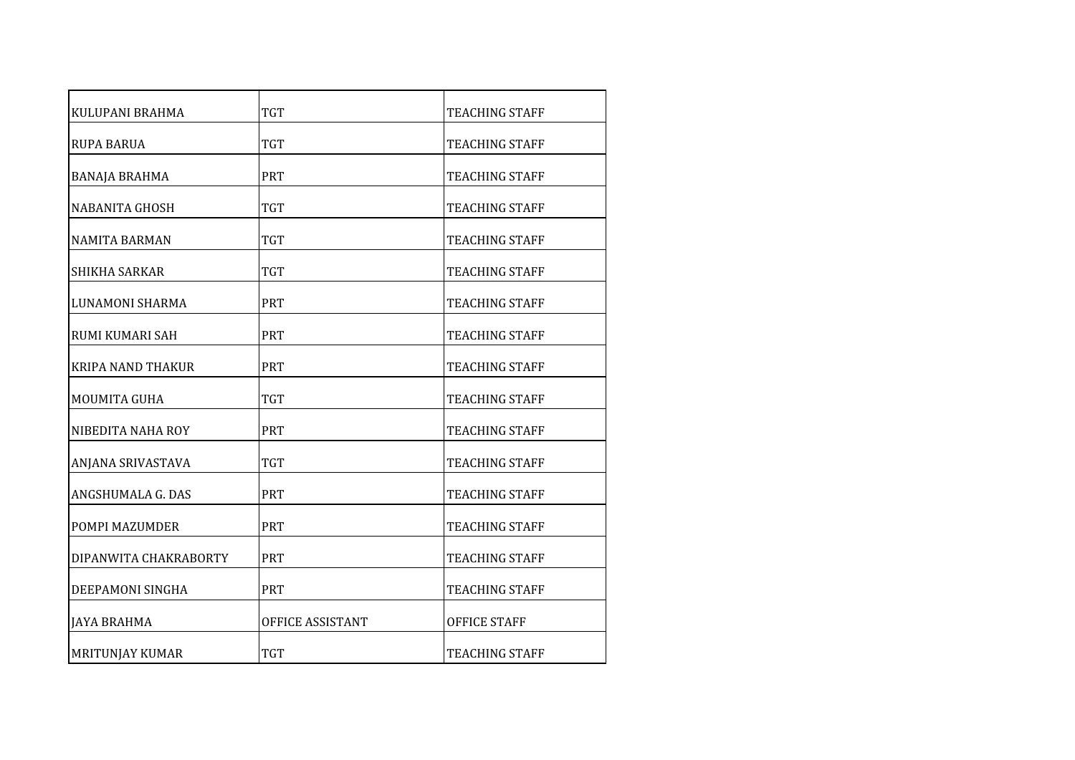| KULUPANI BRAHMA          | <b>TGT</b>       | TEACHING STAFF        |
|--------------------------|------------------|-----------------------|
| <b>RUPA BARUA</b>        | <b>TGT</b>       | TEACHING STAFF        |
| <b>BANAJA BRAHMA</b>     | <b>PRT</b>       | TEACHING STAFF        |
| <b>NABANITA GHOSH</b>    | <b>TGT</b>       | TEACHING STAFF        |
| NAMITA BARMAN            | <b>TGT</b>       | TEACHING STAFF        |
| <b>SHIKHA SARKAR</b>     | <b>TGT</b>       | TEACHING STAFF        |
| LUNAMONI SHARMA          | <b>PRT</b>       | <b>TEACHING STAFF</b> |
| RUMI KUMARI SAH          | <b>PRT</b>       | TEACHING STAFF        |
| <b>KRIPA NAND THAKUR</b> | <b>PRT</b>       | TEACHING STAFF        |
| <b>MOUMITA GUHA</b>      | <b>TGT</b>       | TEACHING STAFF        |
| NIBEDITA NAHA ROY        | <b>PRT</b>       | TEACHING STAFF        |
| ANJANA SRIVASTAVA        | <b>TGT</b>       | <b>TEACHING STAFF</b> |
| ANGSHUMALA G. DAS        | <b>PRT</b>       | <b>TEACHING STAFF</b> |
| POMPI MAZUMDER           | <b>PRT</b>       | TEACHING STAFF        |
| DIPANWITA CHAKRABORTY    | <b>PRT</b>       | TEACHING STAFF        |
| DEEPAMONI SINGHA         | <b>PRT</b>       | TEACHING STAFF        |
| JAYA BRAHMA              | OFFICE ASSISTANT | <b>OFFICE STAFF</b>   |
| MRITUNJAY KUMAR          | <b>TGT</b>       | TEACHING STAFF        |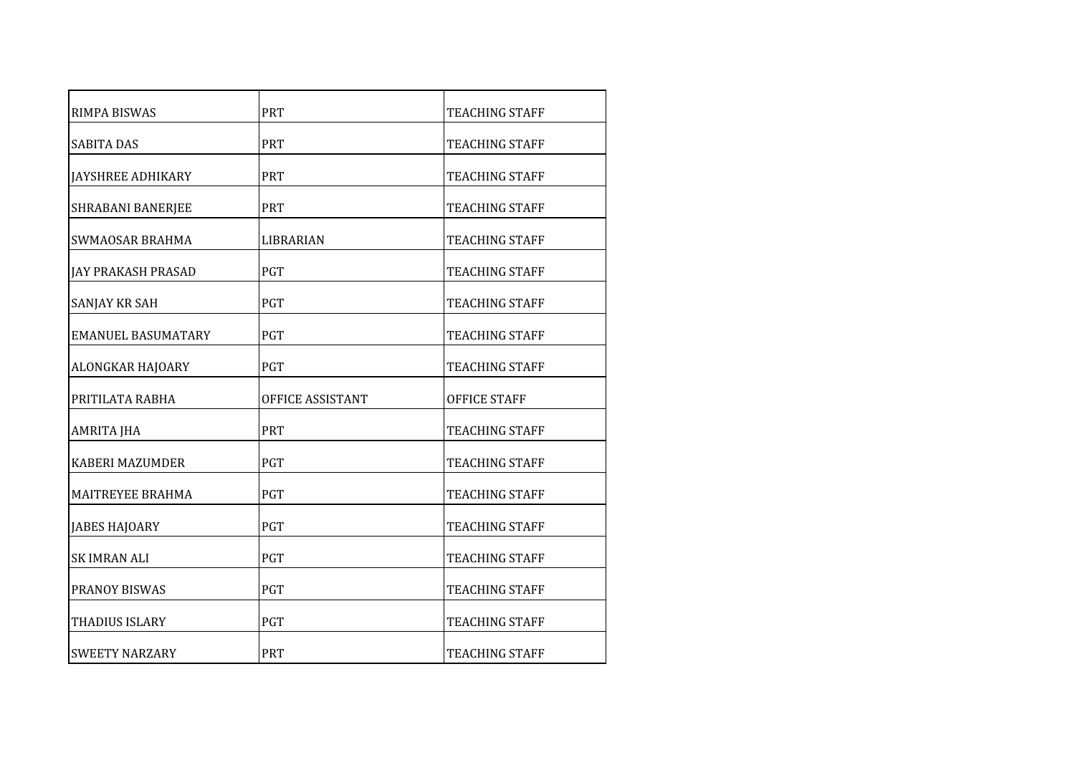| <b>RIMPA BISWAS</b>       | <b>PRT</b>       | TEACHING STAFF        |
|---------------------------|------------------|-----------------------|
| <b>SABITA DAS</b>         | <b>PRT</b>       | TEACHING STAFF        |
| <b>JAYSHREE ADHIKARY</b>  | <b>PRT</b>       | <b>TEACHING STAFF</b> |
| SHRABANI BANERJEE         | <b>PRT</b>       | TEACHING STAFF        |
| <b>SWMAOSAR BRAHMA</b>    | LIBRARIAN        | TEACHING STAFF        |
| IAY PRAKASH PRASAD        | <b>PGT</b>       | TEACHING STAFF        |
| <b>SANJAY KR SAH</b>      | <b>PGT</b>       | TEACHING STAFF        |
| <b>EMANUEL BASUMATARY</b> | <b>PGT</b>       | TEACHING STAFF        |
| ALONGKAR HAJOARY          | <b>PGT</b>       | TEACHING STAFF        |
| PRITILATA RABHA           | OFFICE ASSISTANT | OFFICE STAFF          |
| AMRITA JHA                | <b>PRT</b>       | <b>TEACHING STAFF</b> |
| <b>KABERI MAZUMDER</b>    | <b>PGT</b>       | TEACHING STAFF        |
| <b>MAITREYEE BRAHMA</b>   | <b>PGT</b>       | <b>TEACHING STAFF</b> |
| JABES HAJOARY             | <b>PGT</b>       | TEACHING STAFF        |
| <b>SK IMRAN ALI</b>       | <b>PGT</b>       | TEACHING STAFF        |
| <b>PRANOY BISWAS</b>      | <b>PGT</b>       | TEACHING STAFF        |
| THADIUS ISLARY            | <b>PGT</b>       | <b>TEACHING STAFF</b> |
| <b>SWEETY NARZARY</b>     | <b>PRT</b>       | TEACHING STAFF        |